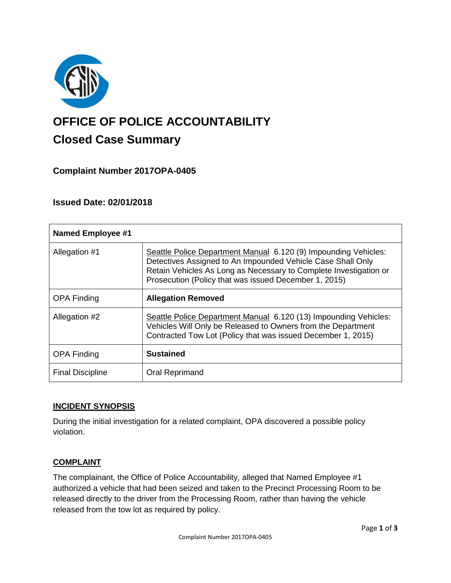

# **OFFICE OF POLICE ACCOUNTABILITY**

# **Closed Case Summary**

## **Complaint Number 2017OPA-0405**

### **Issued Date: 02/01/2018**

| <b>Named Employee #1</b> |                                                                                                                                                                                                                                                              |
|--------------------------|--------------------------------------------------------------------------------------------------------------------------------------------------------------------------------------------------------------------------------------------------------------|
| Allegation #1            | Seattle Police Department Manual 6.120 (9) Impounding Vehicles:<br>Detectives Assigned to An Impounded Vehicle Case Shall Only<br>Retain Vehicles As Long as Necessary to Complete Investigation or<br>Prosecution (Policy that was issued December 1, 2015) |
| <b>OPA Finding</b>       | <b>Allegation Removed</b>                                                                                                                                                                                                                                    |
| Allegation #2            | Seattle Police Department Manual 6.120 (13) Impounding Vehicles:<br>Vehicles Will Only be Released to Owners from the Department<br>Contracted Tow Lot (Policy that was issued December 1, 2015)                                                             |
| <b>OPA Finding</b>       | <b>Sustained</b>                                                                                                                                                                                                                                             |
| <b>Final Discipline</b>  | <b>Oral Reprimand</b>                                                                                                                                                                                                                                        |

#### **INCIDENT SYNOPSIS**

During the initial investigation for a related complaint, OPA discovered a possible policy violation.

#### **COMPLAINT**

The complainant, the Office of Police Accountability, alleged that Named Employee #1 authorized a vehicle that had been seized and taken to the Precinct Processing Room to be released directly to the driver from the Processing Room, rather than having the vehicle released from the tow lot as required by policy.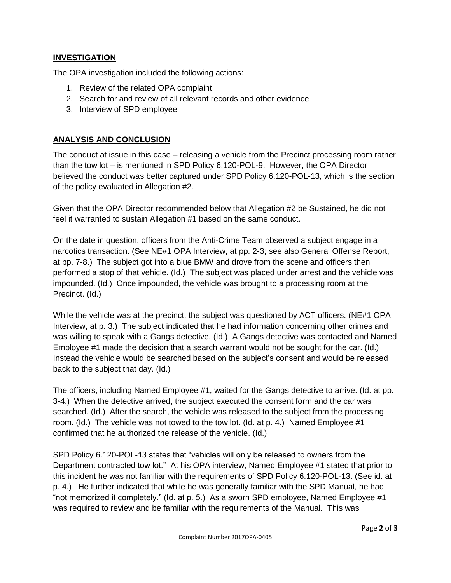#### **INVESTIGATION**

The OPA investigation included the following actions:

- 1. Review of the related OPA complaint
- 2. Search for and review of all relevant records and other evidence
- 3. Interview of SPD employee

#### **ANALYSIS AND CONCLUSION**

The conduct at issue in this case – releasing a vehicle from the Precinct processing room rather than the tow lot – is mentioned in SPD Policy 6.120-POL-9. However, the OPA Director believed the conduct was better captured under SPD Policy 6.120-POL-13, which is the section of the policy evaluated in Allegation #2.

Given that the OPA Director recommended below that Allegation #2 be Sustained, he did not feel it warranted to sustain Allegation #1 based on the same conduct.

On the date in question, officers from the Anti-Crime Team observed a subject engage in a narcotics transaction. (See NE#1 OPA Interview, at pp. 2-3; see also General Offense Report, at pp. 7-8.) The subject got into a blue BMW and drove from the scene and officers then performed a stop of that vehicle. (Id.) The subject was placed under arrest and the vehicle was impounded. (Id.) Once impounded, the vehicle was brought to a processing room at the Precinct. (Id.)

While the vehicle was at the precinct, the subject was questioned by ACT officers. (NE#1 OPA Interview, at p. 3.) The subject indicated that he had information concerning other crimes and was willing to speak with a Gangs detective. (Id.) A Gangs detective was contacted and Named Employee #1 made the decision that a search warrant would not be sought for the car. (Id.) Instead the vehicle would be searched based on the subject's consent and would be released back to the subject that day. (Id.)

The officers, including Named Employee #1, waited for the Gangs detective to arrive. (Id. at pp. 3-4.) When the detective arrived, the subject executed the consent form and the car was searched. (Id.) After the search, the vehicle was released to the subject from the processing room. (Id.) The vehicle was not towed to the tow lot. (Id. at p. 4.) Named Employee #1 confirmed that he authorized the release of the vehicle. (Id.)

SPD Policy 6.120-POL-13 states that "vehicles will only be released to owners from the Department contracted tow lot." At his OPA interview, Named Employee #1 stated that prior to this incident he was not familiar with the requirements of SPD Policy 6.120-POL-13. (See id. at p. 4.) He further indicated that while he was generally familiar with the SPD Manual, he had "not memorized it completely." (Id. at p. 5.) As a sworn SPD employee, Named Employee #1 was required to review and be familiar with the requirements of the Manual. This was